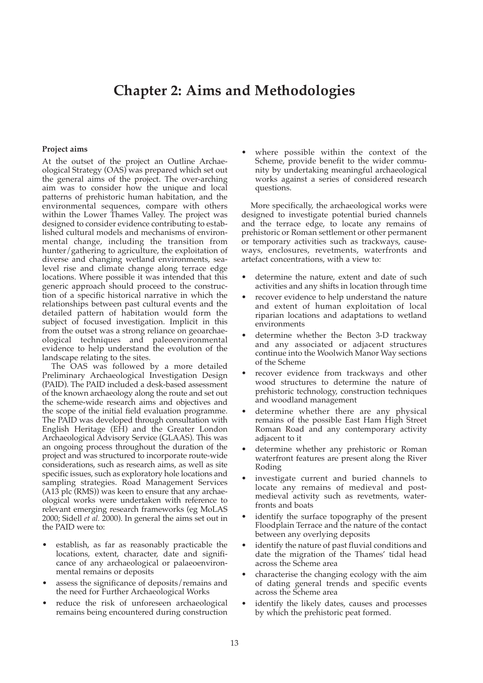# **Chapter 2: Aims and Methodologies**

#### **Project aims**

At the outset of the project an Outline Archaeological Strategy (OAS) was prepared which set out the general aims of the project. The over-arching aim was to consider how the unique and local patterns of prehistoric human habitation, and the environmental sequences, compare with others within the Lower Thames Valley. The project was designed to consider evidence contributing to established cultural models and mechanisms of environmental change, including the transition from hunter/gathering to agriculture, the exploitation of diverse and changing wetland environments, sealevel rise and climate change along terrace edge locations. Where possible it was intended that this generic approach should proceed to the construction of a specific historical narrative in which the relationships between past cultural events and the detailed pattern of habitation would form the subject of focused investigation. Implicit in this from the outset was a strong reliance on geoarchaeological techniques and paleoenvironmental evidence to help understand the evolution of the landscape relating to the sites.

The OAS was followed by a more detailed Preliminary Archaeological Investigation Design (PAID). The PAID included a desk-based assessment of the known archaeology along the route and set out the scheme-wide research aims and objectives and the scope of the initial field evaluation programme. The PAID was developed through consultation with English Heritage (EH) and the Greater London Archaeological Advisory Service (GLAAS). This was an ongoing process throughout the duration of the project and was structured to incorporate route-wide considerations, such as research aims, as well as site specific issues, such as exploratory hole locations and sampling strategies. Road Management Services (A13 plc (RMS)) was keen to ensure that any archaeological works were undertaken with reference to relevant emerging research frameworks (eg MoLAS 2000; Sidell *et al.* 2000). In general the aims set out in the PAID were to:

- establish, as far as reasonably practicable the locations, extent, character, date and significance of any archaeological or palaeoenvironmental remains or deposits
- assess the significance of deposits/remains and the need for Further Archaeological Works
- reduce the risk of unforeseen archaeological remains being encountered during construction

where possible within the context of the Scheme, provide benefit to the wider community by undertaking meaningful archaeological works against a series of considered research questions.

More specifically, the archaeological works were designed to investigate potential buried channels and the terrace edge, to locate any remains of prehistoric or Roman settlement or other permanent or temporary activities such as trackways, causeways, enclosures, revetments, waterfronts and artefact concentrations, with a view to:

- determine the nature, extent and date of such activities and any shifts in location through time
- recover evidence to help understand the nature and extent of human exploitation of local riparian locations and adaptations to wetland environments
- determine whether the Becton 3-D trackway and any associated or adjacent structures continue into the Woolwich Manor Way sections of the Scheme
- recover evidence from trackways and other wood structures to determine the nature of prehistoric technology, construction techniques and woodland management
- determine whether there are any physical remains of the possible East Ham High Street Roman Road and any contemporary activity adjacent to it
- determine whether any prehistoric or Roman waterfront features are present along the River Roding
- investigate current and buried channels to locate any remains of medieval and postmedieval activity such as revetments, waterfronts and boats
- identify the surface topography of the present Floodplain Terrace and the nature of the contact between any overlying deposits
- identify the nature of past fluvial conditions and date the migration of the Thames' tidal head across the Scheme area
- characterise the changing ecology with the aim of dating general trends and specific events across the Scheme area
- identify the likely dates, causes and processes by which the prehistoric peat formed.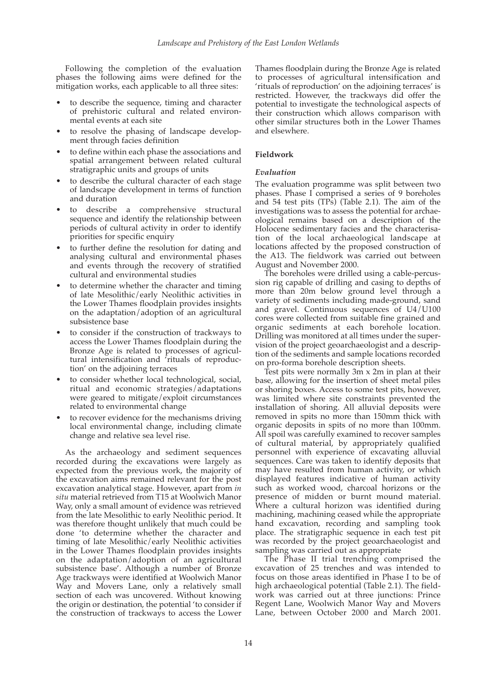Following the completion of the evaluation phases the following aims were defined for the mitigation works, each applicable to all three sites:

- to describe the sequence, timing and character of prehistoric cultural and related environmental events at each site
- to resolve the phasing of landscape development through facies definition
- to define within each phase the associations and spatial arrangement between related cultural stratigraphic units and groups of units
- to describe the cultural character of each stage of landscape development in terms of function and duration
- to describe a comprehensive structural sequence and identify the relationship between periods of cultural activity in order to identify priorities for specific enquiry
- to further define the resolution for dating and analysing cultural and environmental phases and events through the recovery of stratified cultural and environmental studies
- to determine whether the character and timing of late Mesolithic/early Neolithic activities in the Lower Thames floodplain provides insights on the adaptation/adoption of an agricultural subsistence base
- to consider if the construction of trackways to access the Lower Thames floodplain during the Bronze Age is related to processes of agricultural intensification and 'rituals of reproduction' on the adjoining terraces
- to consider whether local technological, social, ritual and economic strategies/adaptations were geared to mitigate/exploit circumstances related to environmental change
- to recover evidence for the mechanisms driving local environmental change, including climate change and relative sea level rise.

As the archaeology and sediment sequences recorded during the excavations were largely as expected from the previous work, the majority of the excavation aims remained relevant for the post excavation analytical stage. However, apart from *in situ* material retrieved from T15 at Woolwich Manor Way, only a small amount of evidence was retrieved from the late Mesolithic to early Neolithic period. It was therefore thought unlikely that much could be done 'to determine whether the character and timing of late Mesolithic/early Neolithic activities in the Lower Thames floodplain provides insights on the adaptation/adoption of an agricultural subsistence base'. Although a number of Bronze Age trackways were identified at Woolwich Manor Way and Movers Lane, only a relatively small section of each was uncovered. Without knowing the origin or destination, the potential 'to consider if the construction of trackways to access the Lower

Thames floodplain during the Bronze Age is related to processes of agricultural intensification and 'rituals of reproduction' on the adjoining terraces' is restricted. However, the trackways did offer the potential to investigate the technological aspects of their construction which allows comparison with other similar structures both in the Lower Thames and elsewhere.

### **Fieldwork**

#### *Evaluation*

The evaluation programme was split between two phases. Phase I comprised a series of 9 boreholes and 54 test pits (TPs) (Table 2.1). The aim of the investigations was to assess the potential for archaeological remains based on a description of the Holocene sedimentary facies and the characterisation of the local archaeological landscape at locations affected by the proposed construction of the A13. The fieldwork was carried out between August and November 2000.

The boreholes were drilled using a cable-percussion rig capable of drilling and casing to depths of more than 20m below ground level through a variety of sediments including made-ground, sand and gravel. Continuous sequences of U4/U100 cores were collected from suitable fine grained and organic sediments at each borehole location. Drilling was monitored at all times under the supervision of the project geoarchaeologist and a description of the sediments and sample locations recorded on pro-forma borehole description sheets.

Test pits were normally 3m x 2m in plan at their base, allowing for the insertion of sheet metal piles or shoring boxes. Access to some test pits, however, was limited where site constraints prevented the installation of shoring. All alluvial deposits were removed in spits no more than 150mm thick with organic deposits in spits of no more than 100mm. All spoil was carefully examined to recover samples of cultural material, by appropriately qualified personnel with experience of excavating alluvial sequences. Care was taken to identify deposits that may have resulted from human activity, or which displayed features indicative of human activity such as worked wood, charcoal horizons or the presence of midden or burnt mound material. Where a cultural horizon was identified during machining, machining ceased while the appropriate hand excavation, recording and sampling took place. The stratigraphic sequence in each test pit was recorded by the project geoarchaeologist and sampling was carried out as appropriate

The Phase II trial trenching comprised the excavation of 25 trenches and was intended to focus on those areas identified in Phase I to be of high archaeological potential (Table 2.1). The fieldwork was carried out at three junctions: Prince Regent Lane, Woolwich Manor Way and Movers Lane, between October 2000 and March 2001.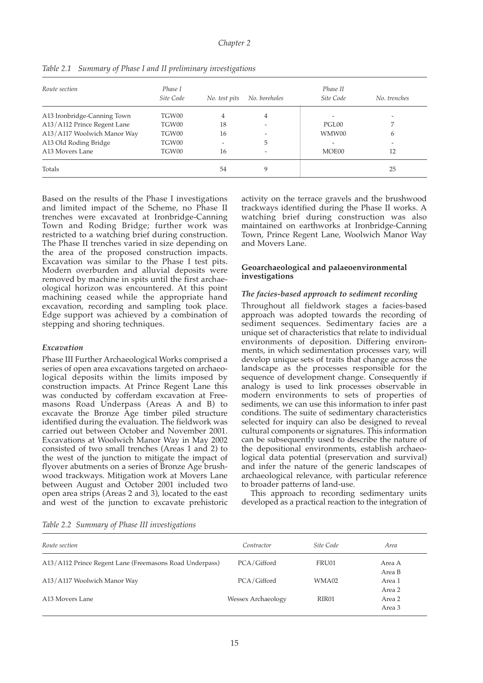| Route section               | Phase I<br>Site Code | No. test pits | No. boreholes            | Phase II<br>Site Code | No. trenches |
|-----------------------------|----------------------|---------------|--------------------------|-----------------------|--------------|
|                             |                      |               |                          |                       |              |
| A13 Ironbridge-Canning Town | TGW00                | 4             | $\overline{4}$           |                       |              |
| A13/A112 Prince Regent Lane | TGW00                | 18            | $\overline{\phantom{a}}$ | PGL00                 |              |
| A13/A117 Woolwich Manor Way | TGW00                | 16            |                          | WMW00                 | 6            |
| A13 Old Roding Bridge       | TGW00                |               | 5                        |                       |              |
| A13 Movers Lane             | TGW00                | 16            | $\overline{\phantom{a}}$ | MOE00                 | 12           |
| Totals                      |                      | 54            | 9                        |                       | 25           |

*Table 2.1 Summary of Phase I and II preliminary investigations*

Based on the results of the Phase I investigations and limited impact of the Scheme, no Phase II trenches were excavated at Ironbridge-Canning Town and Roding Bridge; further work was restricted to a watching brief during construction. The Phase II trenches varied in size depending on the area of the proposed construction impacts. Excavation was similar to the Phase I test pits. Modern overburden and alluvial deposits were removed by machine in spits until the first archaeological horizon was encountered. At this point machining ceased while the appropriate hand excavation, recording and sampling took place. Edge support was achieved by a combination of stepping and shoring techniques.

#### *Excavation*

Phase III Further Archaeological Works comprised a series of open area excavations targeted on archaeological deposits within the limits imposed by construction impacts. At Prince Regent Lane this was conducted by cofferdam excavation at Freemasons Road Underpass (Areas A and B) to excavate the Bronze Age timber piled structure identified during the evaluation. The fieldwork was carried out between October and November 2001. Excavations at Woolwich Manor Way in May 2002 consisted of two small trenches (Areas 1 and 2) to the west of the junction to mitigate the impact of flyover abutments on a series of Bronze Age brushwood trackways. Mitigation work at Movers Lane between August and October 2001 included two open area strips (Areas 2 and 3), located to the east and west of the junction to excavate prehistoric activity on the terrace gravels and the brushwood trackways identified during the Phase II works. A watching brief during construction was also maintained on earthworks at Ironbridge-Canning Town, Prince Regent Lane, Woolwich Manor Way and Movers Lane.

#### **Geoarchaeological and palaeoenvironmental investigations**

## *The facies-based approach to sediment recording*

Throughout all fieldwork stages a facies-based approach was adopted towards the recording of sediment sequences. Sedimentary facies are a unique set of characteristics that relate to individual environments of deposition. Differing environments, in which sedimentation processes vary, will develop unique sets of traits that change across the landscape as the processes responsible for the sequence of development change. Consequently if analogy is used to link processes observable in modern environments to sets of properties of sediments, we can use this information to infer past conditions. The suite of sedimentary characteristics selected for inquiry can also be designed to reveal cultural components or signatures. This information can be subsequently used to describe the nature of the depositional environments, establish archaeological data potential (preservation and survival) and infer the nature of the generic landscapes of archaeological relevance, with particular reference to broader patterns of land-use.

This approach to recording sedimentary units developed as a practical reaction to the integration of

*Table 2.2 Summary of Phase III investigations*

| Route section                                           | Contractor         | Site Code | Area             |
|---------------------------------------------------------|--------------------|-----------|------------------|
| A13/A112 Prince Regent Lane (Freemasons Road Underpass) | PCA/Gifford        | FRU01     | Area A<br>Area B |
| A13/A117 Woolwich Manor Way                             | PCA/Gifford        | WMA02     | Area 1<br>Area 2 |
| A <sub>13</sub> Movers Lane                             | Wessex Archaeology | RIR01     | Area 2<br>Area 3 |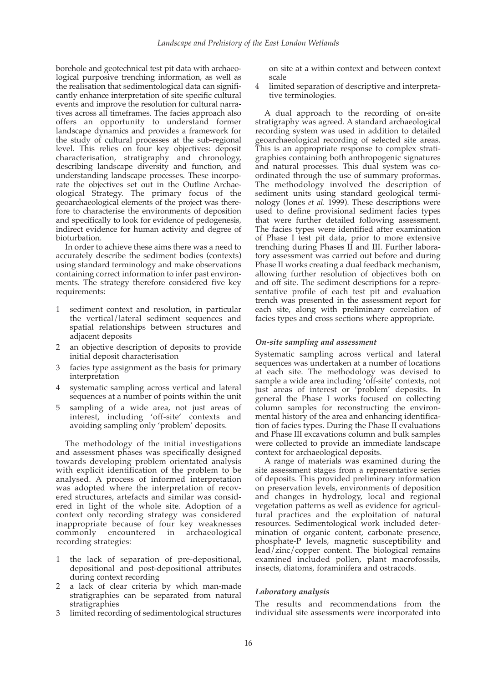borehole and geotechnical test pit data with archaeological purposive trenching information, as well as the realisation that sedimentological data can significantly enhance interpretation of site specific cultural events and improve the resolution for cultural narratives across all timeframes. The facies approach also offers an opportunity to understand former landscape dynamics and provides a framework for the study of cultural processes at the sub-regional level. This relies on four key objectives: deposit characterisation, stratigraphy and chronology, describing landscape diversity and function, and understanding landscape processes. These incorporate the objectives set out in the Outline Archaeological Strategy. The primary focus of the geoarchaeological elements of the project was therefore to characterise the environments of deposition and specifically to look for evidence of pedogenesis, indirect evidence for human activity and degree of bioturbation.

In order to achieve these aims there was a need to accurately describe the sediment bodies (contexts) using standard terminology and make observations containing correct information to infer past environments. The strategy therefore considered five key requirements:

- 1 sediment context and resolution, in particular the vertical/lateral sediment sequences and spatial relationships between structures and adjacent deposits
- 2 an objective description of deposits to provide initial deposit characterisation
- 3 facies type assignment as the basis for primary interpretation
- systematic sampling across vertical and lateral sequences at a number of points within the unit
- 5 sampling of a wide area, not just areas of interest, including 'off-site' contexts and avoiding sampling only 'problem' deposits.

The methodology of the initial investigations and assessment phases was specifically designed towards developing problem orientated analysis with explicit identification of the problem to be analysed. A process of informed interpretation was adopted where the interpretation of recovered structures, artefacts and similar was considered in light of the whole site. Adoption of a context only recording strategy was considered inappropriate because of four key weaknesses commonly encountered in archaeological recording strategies:

- the lack of separation of pre-depositional, depositional and post-depositional attributes during context recording
- 2 a lack of clear criteria by which man-made stratigraphies can be separated from natural stratigraphies
- 3 limited recording of sedimentological structures

on site at a within context and between context scale

4 limited separation of descriptive and interpretative terminologies.

A dual approach to the recording of on-site stratigraphy was agreed. A standard archaeological recording system was used in addition to detailed geoarchaeological recording of selected site areas. This is an appropriate response to complex stratigraphies containing both anthropogenic signatures and natural processes. This dual system was coordinated through the use of summary proformas. The methodology involved the description of sediment units using standard geological terminology (Jones *et al.* 1999). These descriptions were used to define provisional sediment facies types that were further detailed following assessment. The facies types were identified after examination of Phase I test pit data, prior to more extensive trenching during Phases II and III. Further laboratory assessment was carried out before and during Phase II works creating a dual feedback mechanism, allowing further resolution of objectives both on and off site. The sediment descriptions for a representative profile of each test pit and evaluation trench was presented in the assessment report for each site, along with preliminary correlation of facies types and cross sections where appropriate.

#### *On-site sampling and assessment*

Systematic sampling across vertical and lateral sequences was undertaken at a number of locations at each site. The methodology was devised to sample a wide area including 'off-site' contexts, not just areas of interest or 'problem' deposits. In general the Phase I works focused on collecting column samples for reconstructing the environmental history of the area and enhancing identification of facies types. During the Phase II evaluations and Phase III excavations column and bulk samples were collected to provide an immediate landscape context for archaeological deposits.

A range of materials was examined during the site assessment stages from a representative series of deposits. This provided preliminary information on preservation levels, environments of deposition and changes in hydrology, local and regional vegetation patterns as well as evidence for agricultural practices and the exploitation of natural resources. Sedimentological work included determination of organic content, carbonate presence, phosphate-P levels, magnetic susceptibility and  $\frac{1}{2}$ lead $\frac{7}{2}$ inc $\frac{1}{2}$ copper content. The biological remains examined included pollen, plant macrofossils, insects, diatoms, foraminifera and ostracods.

#### *Laboratory analysis*

The results and recommendations from the individual site assessments were incorporated into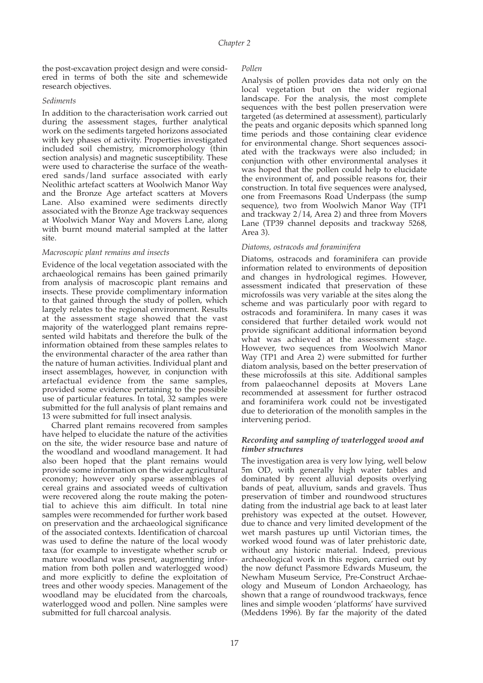the post-excavation project design and were considered in terms of both the site and schemewide research objectives.

#### *Sediments*

In addition to the characterisation work carried out during the assessment stages, further analytical work on the sediments targeted horizons associated with key phases of activity. Properties investigated included soil chemistry, micromorphology (thin section analysis) and magnetic susceptibility. These were used to characterise the surface of the weathered sands/land surface associated with early Neolithic artefact scatters at Woolwich Manor Way and the Bronze Age artefact scatters at Movers Lane. Also examined were sediments directly associated with the Bronze Age trackway sequences at Woolwich Manor Way and Movers Lane, along with burnt mound material sampled at the latter site.

### *Macroscopic plant remains and insects*

Evidence of the local vegetation associated with the archaeological remains has been gained primarily from analysis of macroscopic plant remains and insects. These provide complimentary information to that gained through the study of pollen, which largely relates to the regional environment. Results at the assessment stage showed that the vast majority of the waterlogged plant remains represented wild habitats and therefore the bulk of the information obtained from these samples relates to the environmental character of the area rather than the nature of human activities. Individual plant and insect assemblages, however, in conjunction with artefactual evidence from the same samples, provided some evidence pertaining to the possible use of particular features. In total, 32 samples were submitted for the full analysis of plant remains and 13 were submitted for full insect analysis.

Charred plant remains recovered from samples have helped to elucidate the nature of the activities on the site, the wider resource base and nature of the woodland and woodland management. It had also been hoped that the plant remains would provide some information on the wider agricultural economy; however only sparse assemblages of cereal grains and associated weeds of cultivation were recovered along the route making the potential to achieve this aim difficult. In total nine samples were recommended for further work based on preservation and the archaeological significance of the associated contexts. Identification of charcoal was used to define the nature of the local woody taxa (for example to investigate whether scrub or mature woodland was present, augmenting information from both pollen and waterlogged wood) and more explicitly to define the exploitation of trees and other woody species. Management of the woodland may be elucidated from the charcoals, waterlogged wood and pollen. Nine samples were submitted for full charcoal analysis.

## *Pollen*

Analysis of pollen provides data not only on the local vegetation but on the wider regional landscape. For the analysis, the most complete sequences with the best pollen preservation were targeted (as determined at assessment), particularly the peats and organic deposits which spanned long time periods and those containing clear evidence for environmental change. Short sequences associated with the trackways were also included; in conjunction with other environmental analyses it was hoped that the pollen could help to elucidate the environment of, and possible reasons for, their construction. In total five sequences were analysed, one from Freemasons Road Underpass (the sump sequence), two from Woolwich Manor Way (TP1 and trackway 2/14, Area 2) and three from Movers Lane (TP39 channel deposits and trackway 5268, Area 3).

## *Diatoms, ostracods and foraminifera*

Diatoms, ostracods and foraminifera can provide information related to environments of deposition and changes in hydrological regimes. However, assessment indicated that preservation of these microfossils was very variable at the sites along the scheme and was particularly poor with regard to ostracods and foraminifera. In many cases it was considered that further detailed work would not provide significant additional information beyond what was achieved at the assessment stage. However, two sequences from Woolwich Manor Way (TP1 and Area 2) were submitted for further diatom analysis, based on the better preservation of these microfossils at this site. Additional samples from palaeochannel deposits at Movers Lane recommended at assessment for further ostracod and foraminifera work could not be investigated due to deterioration of the monolith samples in the intervening period.

## *Recording and sampling of waterlogged wood and timber structures*

The investigation area is very low lying, well below 5m OD, with generally high water tables and dominated by recent alluvial deposits overlying bands of peat, alluvium, sands and gravels. Thus preservation of timber and roundwood structures dating from the industrial age back to at least later prehistory was expected at the outset. However, due to chance and very limited development of the wet marsh pastures up until Victorian times, the worked wood found was of later prehistoric date, without any historic material. Indeed, previous archaeological work in this region, carried out by the now defunct Passmore Edwards Museum, the Newham Museum Service, Pre-Construct Archaeology and Museum of London Archaeology, has shown that a range of roundwood trackways, fence lines and simple wooden 'platforms' have survived (Meddens 1996). By far the majority of the dated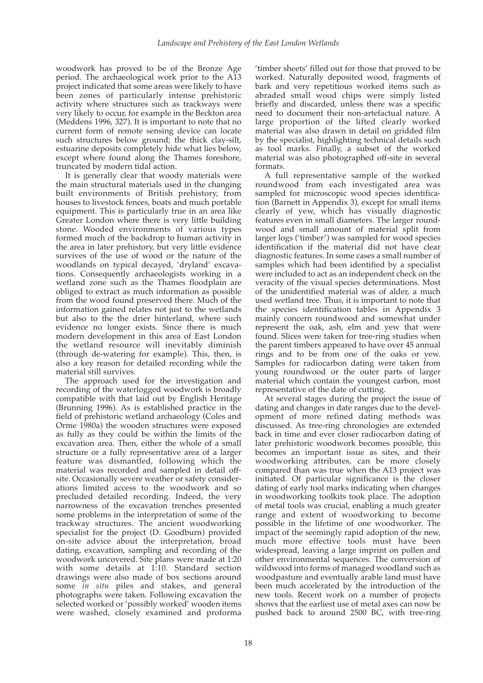woodwork has proved to be of the Bronze Age period. The archaeological work prior to the A13 project indicated that some areas were likely to have been zones of particularly intense prehistoric activity where structures such as trackways were very likely to occur, for example in the Beckton area (Meddens 1996, 327). It is important to note that no current form of remote sensing device can locate such structures below ground; the thick clay-silt, estuarine deposits completely hide what lies below, except where found along the Thames foreshore, truncated by modern tidal action.

It is generally clear that woody materials were the main structural materials used in the changing built environments of British prehistory, from houses to livestock fences, boats and much portable equipment. This is particularly true in an area like Greater London where there is very little building stone. Wooded environments of various types formed much of the backdrop to human activity in the area in later prehistory, but very little evidence survives of the use of wood or the nature of the woodlands on typical decayed, 'dryland' excavations. Consequently archaeologists working in a wetland zone such as the Thames floodplain are obliged to extract as much information as possible from the wood found preserved there. Much of the information gained relates not just to the wetlands but also to the the drier hinterland, where such evidence no longer exists. Since there is much modern development in this area of East London the wetland resource will inevitably diminish (through de-watering for example). This, then, is also a key reason for detailed recording while the material still survives.

The approach used for the investigation and recording of the waterlogged woodwork is broadly compatible with that laid out by English Heritage (Brunning 1996). As is established practice in the field of prehistoric wetland archaeology (Coles and Orme 1980a) the wooden structures were exposed as fully as they could be within the limits of the excavation area. Then, either the whole of a small structure or a fully representative area of a larger feature was dismantled, following which the material was recorded and sampled in detail offsite. Occasionally severe weather or safety considerations limited access to the woodwork and so precluded detailed recording. Indeed, the very narrowness of the excavation trenches presented some problems in the interpretation of some of the trackway structures. The ancient woodworking specialist for the project (D. Goodburn) provided on-site advice about the interpretation, broad dating, excavation, sampling and recording of the woodwork uncovered. Site plans were made at 1:20 with some details at 1:10. Standard section drawings were also made of box sections around some *in situ* piles and stakes, and general photographs were taken. Following excavation the selected worked or 'possibly worked' wooden items were washed, closely examined and proforma

'timber sheets' filled out for those that proved to be worked. Naturally deposited wood, fragments of bark and very repetitious worked items such as abraded small wood chips were simply listed briefly and discarded, unless there was a specific need to document their non-artefactual nature. A large proportion of the lifted clearly worked material was also drawn in detail on gridded film by the specialist, highlighting technical details such as tool marks. Finally, a subset of the worked material was also photographed off-site in several formats.

A full representative sample of the worked roundwood from each investigated area was sampled for microscopic wood species identification (Barnett in Appendix 3), except for small items clearly of yew, which has visually diagnostic features even in small diameters. The larger roundwood and small amount of material split from larger logs ('timber') was sampled for wood species identification if the material did not have clear diagnostic features. In some cases a small number of samples which had been identified by a specialist were included to act as an independent check on the veracity of the visual species determinations. Most of the unidentified material was of alder, a much used wetland tree. Thus, it is important to note that the species identification tables in Appendix 3 mainly concern roundwood and somewhat under represent the oak, ash, elm and yew that were found. Slices were taken for tree-ring studies when the parent timbers appeared to have over 45 annual rings and to be from one of the oaks or yew. Samples for radiocarbon dating were taken from young roundwood or the outer parts of larger material which contain the youngest carbon, most representative of the date of cutting.

At several stages during the project the issue of dating and changes in date ranges due to the development of more refined dating methods was discussed. As tree-ring chronologies are extended back in time and ever closer radiocarbon dating of later prehistoric woodwork becomes possible, this becomes an important issue as sites, and their woodworking attributes, can be more closely compared than was true when the A13 project was initiated. Of particular significance is the closer dating of early tool marks indicating when changes in woodworking toolkits took place. The adoption of metal tools was crucial, enabling a much greater range and extent of woodworking to become possible in the lifetime of one woodworker. The impact of the seemingly rapid adoption of the new, much more effective tools must have been widespread, leaving a large imprint on pollen and other environmental sequences. The conversion of wildwood into forms of managed woodland such as woodpasture and eventually arable land must have been much accelerated by the introduction of the new tools. Recent work on a number of projects shows that the earliest use of metal axes can now be pushed back to around 2500 BC, with tree-ring